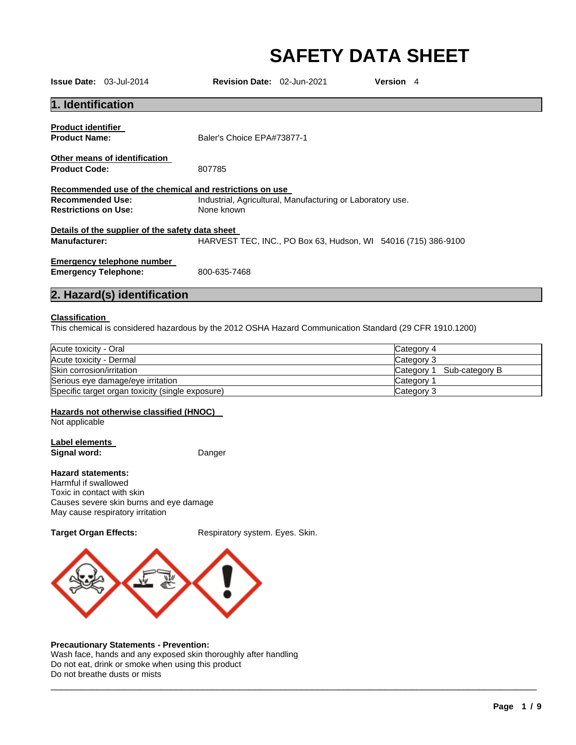# **SAFETY DATA SHEET**

|                             | <b>Issue Date: 03-Jul-2014</b>                   | <b>Revision Date: 02-Jun-2021</b>                          | Version 4                                                                                               |
|-----------------------------|--------------------------------------------------|------------------------------------------------------------|---------------------------------------------------------------------------------------------------------|
| 1. Identification           |                                                  |                                                            |                                                                                                         |
| <b>Product identifier</b>   |                                                  |                                                            |                                                                                                         |
| <b>Product Name:</b>        |                                                  | Baler's Choice EPA#73877-1                                 |                                                                                                         |
|                             | Other means of identification                    |                                                            |                                                                                                         |
| <b>Product Code:</b>        |                                                  | 807785                                                     |                                                                                                         |
|                             |                                                  | Recommended use of the chemical and restrictions on use    |                                                                                                         |
| <b>Recommended Use:</b>     |                                                  | Industrial, Agricultural, Manufacturing or Laboratory use. |                                                                                                         |
| <b>Restrictions on Use:</b> |                                                  | None known                                                 |                                                                                                         |
|                             | Details of the supplier of the safety data sheet |                                                            |                                                                                                         |
| <b>Manufacturer:</b>        |                                                  |                                                            | HARVEST TEC, INC., PO Box 63, Hudson, WI 54016 (715) 386-9100                                           |
|                             | Emergency telephone number                       |                                                            |                                                                                                         |
| <b>Emergency Telephone:</b> |                                                  | 800-635-7468                                               |                                                                                                         |
|                             | 2. Hazard(s) identification                      |                                                            |                                                                                                         |
| <b>Classification</b>       |                                                  |                                                            |                                                                                                         |
|                             |                                                  |                                                            | This chemical is considered hazardous by the 2012 OSHA Hazard Communication Standard (29 CFR 1910.1200) |
| Acute toxicity - Oral       |                                                  |                                                            | Category 4                                                                                              |
| Acute toxicity - Dermal     |                                                  |                                                            | Category 3                                                                                              |
| Skin corrosion/irritation   |                                                  |                                                            | Category 1 Sub-category R                                                                               |

| , wato tomony<br>ິ                               | <b>POLONO</b>                |
|--------------------------------------------------|------------------------------|
| Acute toxicity - Dermal                          | Category 3                   |
| Skin corrosion/irritation                        | Sub-category B<br>Category 1 |
| Serious eye damage/eye irritation                | Category                     |
| Specific target organ toxicity (single exposure) | Category 3                   |

\_\_\_\_\_\_\_\_\_\_\_\_\_\_\_\_\_\_\_\_\_\_\_\_\_\_\_\_\_\_\_\_\_\_\_\_\_\_\_\_\_\_\_\_\_\_\_\_\_\_\_\_\_\_\_\_\_\_\_\_\_\_\_\_\_\_\_\_\_\_\_\_\_\_\_\_\_\_\_\_\_\_\_\_\_\_\_\_\_\_\_\_\_

#### **Hazards not otherwise classified (HNOC)**

Not applicable

#### **Label elements Signal word:** Danger

#### **Hazard statements:**

Harmful if swallowed Toxic in contact with skin Causes severe skin burns and eye damage May cause respiratory irritation

Target Organ Effects: Respiratory system. Eyes. Skin.



#### **Precautionary Statements - Prevention:**

Wash face, hands and any exposed skin thoroughly after handling Do not eat, drink or smoke when using this product Do not breathe dusts or mists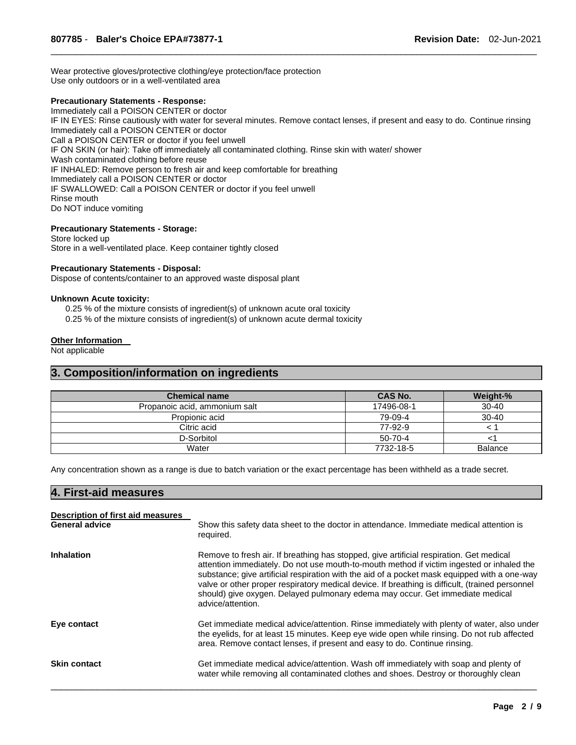Wear protective gloves/protective clothing/eye protection/face protection Use only outdoors or in a well-ventilated area

#### **Precautionary Statements - Response:**

Immediately call a POISON CENTER or doctor IF IN EYES: Rinse cautiously with water for several minutes. Remove contact lenses, if present and easy to do. Continue rinsing Immediately call a POISON CENTER or doctor Call a POISON CENTER or doctor if you feel unwell IF ON SKIN (or hair): Take off immediately all contaminated clothing. Rinse skin with water/ shower Wash contaminated clothing before reuse IF INHALED: Remove person to fresh air and keep comfortable for breathing Immediately call a POISON CENTER or doctor IF SWALLOWED: Call a POISON CENTER or doctor if you feel unwell Rinse mouth Do NOT induce vomiting

\_\_\_\_\_\_\_\_\_\_\_\_\_\_\_\_\_\_\_\_\_\_\_\_\_\_\_\_\_\_\_\_\_\_\_\_\_\_\_\_\_\_\_\_\_\_\_\_\_\_\_\_\_\_\_\_\_\_\_\_\_\_\_\_\_\_\_\_\_\_\_\_\_\_\_\_\_\_\_\_\_\_\_\_\_\_\_\_\_\_\_\_\_

#### **Precautionary Statements - Storage:**

Store locked up Store in a well-ventilated place. Keep container tightly closed

#### **Precautionary Statements - Disposal:**

Dispose of contents/container to an approved waste disposal plant

#### **Unknown Acute toxicity:**

0.25 % of the mixture consists of ingredient(s) of unknown acute oral toxicity

0.25 % of the mixture consists of ingredient(s) of unknown acute dermal toxicity

#### **Other Information**

Not applicable

### **3. Composition/information on ingredients**

| <b>Chemical name</b>          | <b>CAS No.</b> | Weight-%       |
|-------------------------------|----------------|----------------|
| Propanoic acid, ammonium salt | 17496-08-1     | $30 - 40$      |
| Propionic acid                | 79-09-4        | $30 - 40$      |
| Citric acid                   | 77-92-9        |                |
| D-Sorbitol                    | 50-70-4        |                |
| Water                         | 7732-18-5      | <b>Balance</b> |

Any concentration shown as a range is due to batch variation or the exact percentage has been withheld as a trade secret.

# **4. First-aid measures**

| Description of first aid measures |                                                                                                                                                                                                                                                                                                                                                                                                                                                                                               |
|-----------------------------------|-----------------------------------------------------------------------------------------------------------------------------------------------------------------------------------------------------------------------------------------------------------------------------------------------------------------------------------------------------------------------------------------------------------------------------------------------------------------------------------------------|
| <b>General advice</b>             | Show this safety data sheet to the doctor in attendance. Immediate medical attention is<br>required.                                                                                                                                                                                                                                                                                                                                                                                          |
| <b>Inhalation</b>                 | Remove to fresh air. If breathing has stopped, give artificial respiration. Get medical<br>attention immediately. Do not use mouth-to-mouth method if victim ingested or inhaled the<br>substance; give artificial respiration with the aid of a pocket mask equipped with a one-way<br>valve or other proper respiratory medical device. If breathing is difficult, (trained personnel<br>should) give oxygen. Delayed pulmonary edema may occur. Get immediate medical<br>advice/attention. |
| Eye contact                       | Get immediate medical advice/attention. Rinse immediately with plenty of water, also under<br>the eyelids, for at least 15 minutes. Keep eye wide open while rinsing. Do not rub affected<br>area. Remove contact lenses, if present and easy to do. Continue rinsing.                                                                                                                                                                                                                        |
| <b>Skin contact</b>               | Get immediate medical advice/attention. Wash off immediately with soap and plenty of<br>water while removing all contaminated clothes and shoes. Destroy or thoroughly clean                                                                                                                                                                                                                                                                                                                  |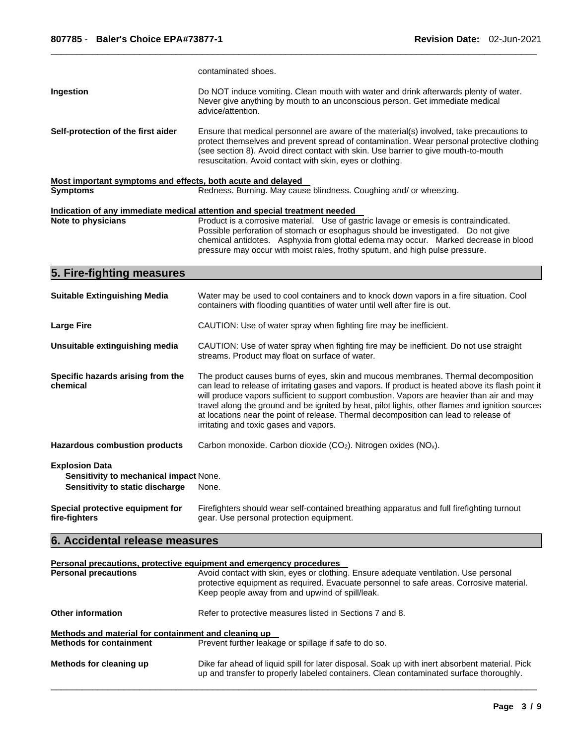|                                                                                                    | contaminated shoes.                                                                                                                                                                                                                                                                                                                                                                                                                                                                                                       |  |
|----------------------------------------------------------------------------------------------------|---------------------------------------------------------------------------------------------------------------------------------------------------------------------------------------------------------------------------------------------------------------------------------------------------------------------------------------------------------------------------------------------------------------------------------------------------------------------------------------------------------------------------|--|
| Ingestion                                                                                          | Do NOT induce vomiting. Clean mouth with water and drink afterwards plenty of water.<br>Never give anything by mouth to an unconscious person. Get immediate medical<br>advice/attention.                                                                                                                                                                                                                                                                                                                                 |  |
| Self-protection of the first aider                                                                 | Ensure that medical personnel are aware of the material(s) involved, take precautions to<br>protect themselves and prevent spread of contamination. Wear personal protective clothing<br>(see section 8). Avoid direct contact with skin. Use barrier to give mouth-to-mouth<br>resuscitation. Avoid contact with skin, eyes or clothing.                                                                                                                                                                                 |  |
| Most important symptoms and effects, both acute and delayed                                        |                                                                                                                                                                                                                                                                                                                                                                                                                                                                                                                           |  |
| <b>Symptoms</b>                                                                                    | Redness. Burning. May cause blindness. Coughing and/ or wheezing.                                                                                                                                                                                                                                                                                                                                                                                                                                                         |  |
|                                                                                                    | Indication of any immediate medical attention and special treatment needed                                                                                                                                                                                                                                                                                                                                                                                                                                                |  |
| Note to physicians                                                                                 | Product is a corrosive material. Use of gastric lavage or emesis is contraindicated.<br>Possible perforation of stomach or esophagus should be investigated.  Do not give<br>chemical antidotes. Asphyxia from glottal edema may occur. Marked decrease in blood<br>pressure may occur with moist rales, frothy sputum, and high pulse pressure.                                                                                                                                                                          |  |
| 5. Fire-fighting measures                                                                          |                                                                                                                                                                                                                                                                                                                                                                                                                                                                                                                           |  |
| <b>Suitable Extinguishing Media</b>                                                                | Water may be used to cool containers and to knock down vapors in a fire situation. Cool<br>containers with flooding quantities of water until well after fire is out.                                                                                                                                                                                                                                                                                                                                                     |  |
| <b>Large Fire</b>                                                                                  | CAUTION: Use of water spray when fighting fire may be inefficient.                                                                                                                                                                                                                                                                                                                                                                                                                                                        |  |
| Unsuitable extinguishing media                                                                     | CAUTION: Use of water spray when fighting fire may be inefficient. Do not use straight<br>streams. Product may float on surface of water.                                                                                                                                                                                                                                                                                                                                                                                 |  |
| Specific hazards arising from the<br>chemical                                                      | The product causes burns of eyes, skin and mucous membranes. Thermal decomposition<br>can lead to release of irritating gases and vapors. If product is heated above its flash point it<br>will produce vapors sufficient to support combustion. Vapors are heavier than air and may<br>travel along the ground and be ignited by heat, pilot lights, other flames and ignition sources<br>at locations near the point of release. Thermal decomposition can lead to release of<br>irritating and toxic gases and vapors. |  |
| <b>Hazardous combustion products</b>                                                               | Carbon monoxide. Carbon dioxide (CO2). Nitrogen oxides (NO <sub>x</sub> ).                                                                                                                                                                                                                                                                                                                                                                                                                                                |  |
| <b>Explosion Data</b><br>Sensitivity to mechanical impact None.<br>Sensitivity to static discharge | None.                                                                                                                                                                                                                                                                                                                                                                                                                                                                                                                     |  |
| Special protective equipment for<br>fire-fighters                                                  | Firefighters should wear self-contained breathing apparatus and full firefighting turnout<br>gear. Use personal protection equipment.                                                                                                                                                                                                                                                                                                                                                                                     |  |
| 6. Accidental release measures                                                                     |                                                                                                                                                                                                                                                                                                                                                                                                                                                                                                                           |  |
|                                                                                                    |                                                                                                                                                                                                                                                                                                                                                                                                                                                                                                                           |  |
| <b>Personal precautions</b>                                                                        | Personal precautions, protective equipment and emergency procedures<br>Avoid contact with skin, eyes or clothing. Ensure adequate ventilation. Use personal<br>protective equipment as required. Evacuate personnel to safe areas. Corrosive material.<br>Keep people away from and upwind of spill/leak.                                                                                                                                                                                                                 |  |
| <b>Other information</b>                                                                           | Refer to protective measures listed in Sections 7 and 8.                                                                                                                                                                                                                                                                                                                                                                                                                                                                  |  |

\_\_\_\_\_\_\_\_\_\_\_\_\_\_\_\_\_\_\_\_\_\_\_\_\_\_\_\_\_\_\_\_\_\_\_\_\_\_\_\_\_\_\_\_\_\_\_\_\_\_\_\_\_\_\_\_\_\_\_\_\_\_\_\_\_\_\_\_\_\_\_\_\_\_\_\_\_\_\_\_\_\_\_\_\_\_\_\_\_\_\_\_\_

#### **Methods and material for containment and cleaning up Prevent further leakage or spillage if safe to do so.**

**Methods for cleaning up** Dike far ahead of liquid spill for later disposal. Soak up with inert absorbent material. Pick up and transfer to properly labeled containers. Clean contaminated surface thoroughly.

\_\_\_\_\_\_\_\_\_\_\_\_\_\_\_\_\_\_\_\_\_\_\_\_\_\_\_\_\_\_\_\_\_\_\_\_\_\_\_\_\_\_\_\_\_\_\_\_\_\_\_\_\_\_\_\_\_\_\_\_\_\_\_\_\_\_\_\_\_\_\_\_\_\_\_\_\_\_\_\_\_\_\_\_\_\_\_\_\_\_\_\_\_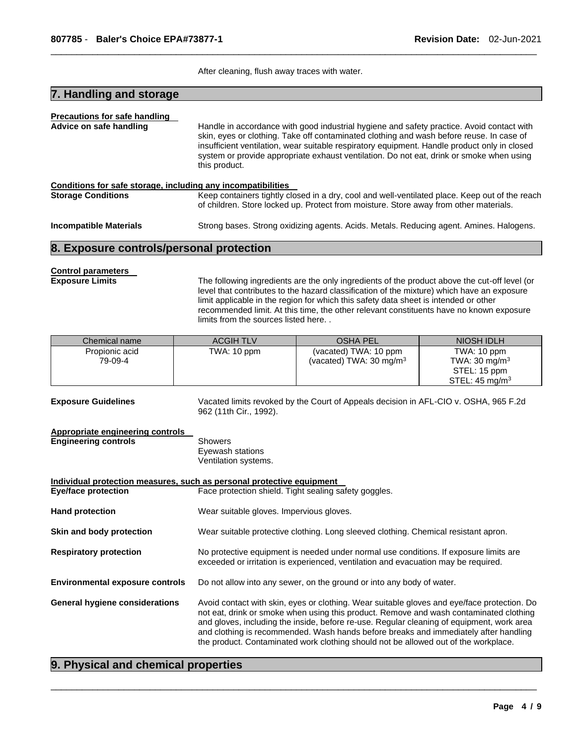After cleaning, flush away traces with water.

\_\_\_\_\_\_\_\_\_\_\_\_\_\_\_\_\_\_\_\_\_\_\_\_\_\_\_\_\_\_\_\_\_\_\_\_\_\_\_\_\_\_\_\_\_\_\_\_\_\_\_\_\_\_\_\_\_\_\_\_\_\_\_\_\_\_\_\_\_\_\_\_\_\_\_\_\_\_\_\_\_\_\_\_\_\_\_\_\_\_\_\_\_

# **7. Handling and storage**

| <b>Precautions for safe handling</b>                         |                                                                                                                                                                                                                                                                                                                                                                                                    |  |  |
|--------------------------------------------------------------|----------------------------------------------------------------------------------------------------------------------------------------------------------------------------------------------------------------------------------------------------------------------------------------------------------------------------------------------------------------------------------------------------|--|--|
| Advice on safe handling                                      | Handle in accordance with good industrial hygiene and safety practice. Avoid contact with<br>skin, eyes or clothing. Take off contaminated clothing and wash before reuse. In case of<br>insufficient ventilation, wear suitable respiratory equipment. Handle product only in closed<br>system or provide appropriate exhaust ventilation. Do not eat, drink or smoke when using<br>this product. |  |  |
| Conditions for safe storage, including any incompatibilities |                                                                                                                                                                                                                                                                                                                                                                                                    |  |  |
| <b>Storage Conditions</b>                                    | Keep containers tightly closed in a dry, cool and well-ventilated place. Keep out of the reach<br>of children. Store locked up. Protect from moisture. Store away from other materials.                                                                                                                                                                                                            |  |  |
| <b>Incompatible Materials</b>                                | Strong bases. Strong oxidizing agents. Acids. Metals. Reducing agent. Amines. Halogens.                                                                                                                                                                                                                                                                                                            |  |  |

#### **8. Exposure controls/personal protection**

# **Control parameters**

**Exposure Limits** The following ingredients are the only ingredients of the product above the cut-off level (or level that contributes to the hazard classification of the mixture) which have an exposure limit applicable in the region for which this safety data sheet is intended or other recommended limit. At this time, the other relevant constituents have no known exposure limits from the sources listed here. .

| Chemical name  | <b>ACGIH TLV</b> | <b>OSHA PEL</b>                    | NIOSH IDLH                |
|----------------|------------------|------------------------------------|---------------------------|
| Propionic acid | TWA: 10 ppm      | (vacated) TWA: 10 ppm              | TWA: 10 ppm               |
| 79-09-4        |                  | (vacated) TWA: $30 \text{ mg/m}^3$ | TWA: 30 mg/m $3$          |
|                |                  |                                    | STEL: 15 ppm              |
|                |                  |                                    | STEL: $45 \text{ mg/m}^3$ |

**Exposure Guidelines** Vacated limits revoked by the Court of Appeals decision in AFL-CIO v. OSHA, 965 F.2d 962 (11th Cir., 1992). **Appropriate engineering controls** 

#### **Engineering controls** Showers Eyewash stations Ventilation systems.

**Individual protection measures, such as personal protective equipment Eye/face protection Face protection Shield. Tight sealing safety goggles. Hand protection Wear suitable gloves. Impervious gloves. Skin and body protection** Wear suitable protective clothing. Long sleeved clothing. Chemical resistant apron. **Respiratory protection** No protective equipment is needed under normal use conditions. If exposure limits are exceeded or irritation is experienced, ventilation and evacuation may be required. **Environmental exposure controls** Do not allow into any sewer, on the ground or into any body of water. **General hygiene considerations** Avoid contact with skin, eyes or clothing. Wear suitable gloves and eye/face protection. Do not eat, drink or smoke when using this product. Remove and wash contaminated clothing and gloves, including the inside, before re-use. Regular cleaning of equipment, work area and clothing is recommended. Wash hands before breaks and immediately after handling the product. Contaminated work clothing should not be allowed out of the workplace.

\_\_\_\_\_\_\_\_\_\_\_\_\_\_\_\_\_\_\_\_\_\_\_\_\_\_\_\_\_\_\_\_\_\_\_\_\_\_\_\_\_\_\_\_\_\_\_\_\_\_\_\_\_\_\_\_\_\_\_\_\_\_\_\_\_\_\_\_\_\_\_\_\_\_\_\_\_\_\_\_\_\_\_\_\_\_\_\_\_\_\_\_\_

### **9. Physical and chemical properties**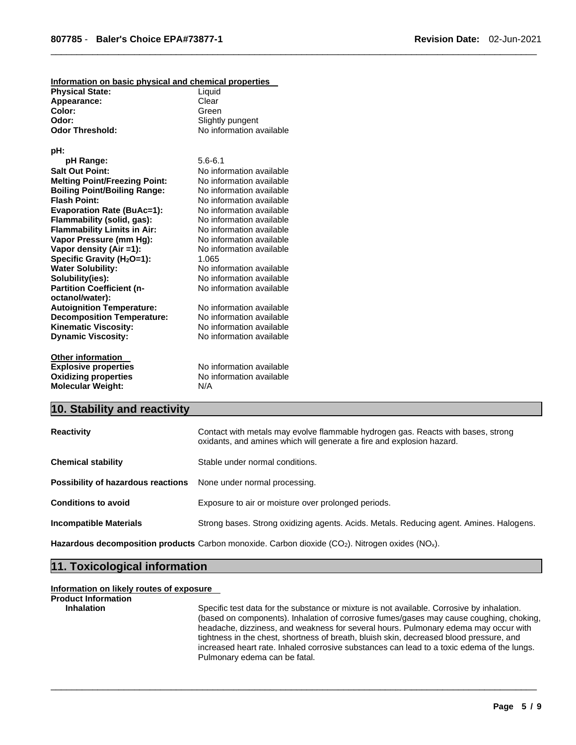| Information on basic physical and chemical properties |                          |
|-------------------------------------------------------|--------------------------|
| <b>Physical State:</b>                                | Liquid                   |
| Appearance:                                           | Clear                    |
| Color:                                                | Green                    |
| Odor:                                                 | Slightly pungent         |
| <b>Odor Threshold:</b>                                | No information available |
| pH:                                                   |                          |
| pH Range:                                             | $5.6 - 6.1$              |
| <b>Salt Out Point:</b>                                | No information available |
| <b>Melting Point/Freezing Point:</b>                  | No information available |
| <b>Boiling Point/Boiling Range:</b>                   | No information available |
| <b>Flash Point:</b>                                   | No information available |
| <b>Evaporation Rate (BuAc=1):</b>                     | No information available |
| Flammability (solid, gas):                            | No information available |
| <b>Flammability Limits in Air:</b>                    | No information available |
| Vapor Pressure (mm Hg):                               | No information available |
| Vapor density (Air =1):                               | No information available |
| Specific Gravity (H <sub>2</sub> O=1):                | 1.065                    |
| <b>Water Solubility:</b>                              | No information available |
| Solubility(ies):                                      | No information available |
| <b>Partition Coefficient (n-</b>                      | No information available |
| octanol/water):                                       |                          |
| <b>Autoignition Temperature:</b>                      | No information available |
| <b>Decomposition Temperature:</b>                     | No information available |
| <b>Kinematic Viscosity:</b>                           | No information available |
| <b>Dynamic Viscosity:</b>                             | No information available |
| <b>Other information</b>                              |                          |
| <b>Explosive properties</b>                           | No information available |
| <b>Oxidizing properties</b>                           | No information available |
| <b>Molecular Weight:</b>                              | N/A                      |

## **10. Stability and reactivity**

| <b>Reactivity</b>                                                       | Contact with metals may evolve flammable hydrogen gas. Reacts with bases, strong<br>oxidants, and amines which will generate a fire and explosion hazard. |
|-------------------------------------------------------------------------|-----------------------------------------------------------------------------------------------------------------------------------------------------------|
| <b>Chemical stability</b>                                               | Stable under normal conditions.                                                                                                                           |
| <b>Possibility of hazardous reactions</b> None under normal processing. |                                                                                                                                                           |
| <b>Conditions to avoid</b>                                              | Exposure to air or moisture over prolonged periods.                                                                                                       |
| <b>Incompatible Materials</b>                                           | Strong bases. Strong oxidizing agents. Acids. Metals. Reducing agent. Amines. Halogens.                                                                   |

\_\_\_\_\_\_\_\_\_\_\_\_\_\_\_\_\_\_\_\_\_\_\_\_\_\_\_\_\_\_\_\_\_\_\_\_\_\_\_\_\_\_\_\_\_\_\_\_\_\_\_\_\_\_\_\_\_\_\_\_\_\_\_\_\_\_\_\_\_\_\_\_\_\_\_\_\_\_\_\_\_\_\_\_\_\_\_\_\_\_\_\_\_

\_\_\_\_\_\_\_\_\_\_\_\_\_\_\_\_\_\_\_\_\_\_\_\_\_\_\_\_\_\_\_\_\_\_\_\_\_\_\_\_\_\_\_\_\_\_\_\_\_\_\_\_\_\_\_\_\_\_\_\_\_\_\_\_\_\_\_\_\_\_\_\_\_\_\_\_\_\_\_\_\_\_\_\_\_\_\_\_\_\_\_\_\_

Hazardous decomposition products Carbon monoxide. Carbon dioxide (CO<sub>2</sub>). Nitrogen oxides (NO<sub>x</sub>).

## **11. Toxicological information**

#### **Information on likely routes of exposure**

```
Product Information
```
**Inhalation** Specific test data for the substance or mixture is not available. Corrosive by inhalation. (based on components). Inhalation of corrosive fumes/gases may cause coughing, choking, headache, dizziness, and weakness for several hours. Pulmonary edema may occur with tightness in the chest, shortness of breath, bluish skin, decreased blood pressure, and increased heart rate. Inhaled corrosive substances can lead to a toxic edema of the lungs. Pulmonary edema can be fatal.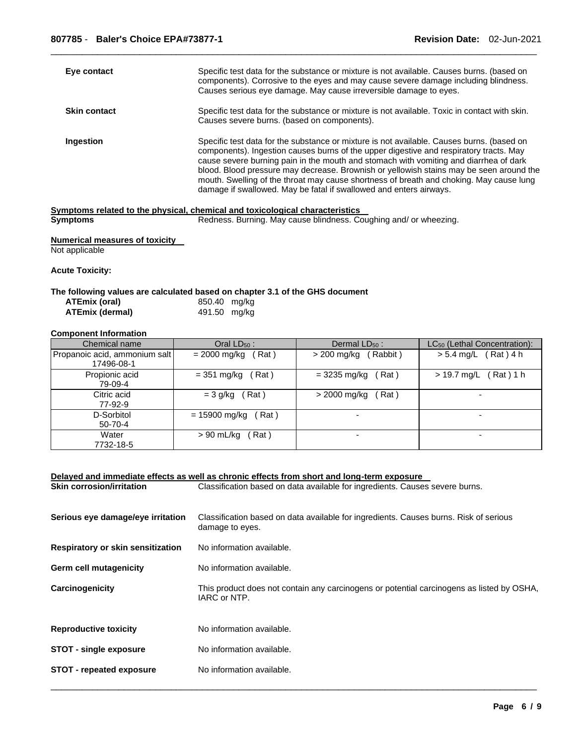| Eye contact         | Specific test data for the substance or mixture is not available. Causes burns. (based on<br>components). Corrosive to the eyes and may cause severe damage including blindness.<br>Causes serious eye damage. May cause irreversible damage to eyes.                                                                                                                                                                                                                                                                                    |
|---------------------|------------------------------------------------------------------------------------------------------------------------------------------------------------------------------------------------------------------------------------------------------------------------------------------------------------------------------------------------------------------------------------------------------------------------------------------------------------------------------------------------------------------------------------------|
| <b>Skin contact</b> | Specific test data for the substance or mixture is not available. Toxic in contact with skin.<br>Causes severe burns. (based on components).                                                                                                                                                                                                                                                                                                                                                                                             |
| Ingestion           | Specific test data for the substance or mixture is not available. Causes burns. (based on<br>components). Ingestion causes burns of the upper digestive and respiratory tracts. May<br>cause severe burning pain in the mouth and stomach with vomiting and diarrhea of dark<br>blood. Blood pressure may decrease. Brownish or yellowish stains may be seen around the<br>mouth. Swelling of the throat may cause shortness of breath and choking. May cause lung<br>damage if swallowed. May be fatal if swallowed and enters airways. |
|                     | Symptoms related to the physical, chemical and toxicological characteristics                                                                                                                                                                                                                                                                                                                                                                                                                                                             |
| <b>Symptoms</b>     | Redness. Burning. May cause blindness. Coughing and/ or wheezing.                                                                                                                                                                                                                                                                                                                                                                                                                                                                        |

\_\_\_\_\_\_\_\_\_\_\_\_\_\_\_\_\_\_\_\_\_\_\_\_\_\_\_\_\_\_\_\_\_\_\_\_\_\_\_\_\_\_\_\_\_\_\_\_\_\_\_\_\_\_\_\_\_\_\_\_\_\_\_\_\_\_\_\_\_\_\_\_\_\_\_\_\_\_\_\_\_\_\_\_\_\_\_\_\_\_\_\_\_

**Numerical measures of toxicity**  Not applicable

**Acute Toxicity:** 

#### **The following values are calculated based on chapter 3.1 of the GHS document**

| ATEmix (oral)   | 850.40 mg/kg |  |
|-----------------|--------------|--|
| ATEmix (dermal) | 491.50 mg/kg |  |

#### **Component Information**

| Chemical name                 | Oral $LD_{50}$ :         | Dermal $LD_{50}$ :       | LC <sub>50</sub> (Lethal Concentration): |
|-------------------------------|--------------------------|--------------------------|------------------------------------------|
| Propanoic acid, ammonium salt | Rat )                    | Rabbit)                  | (Rat)4 h                                 |
| 17496-08-1                    | $= 2000 \; \text{mg/kg}$ | > 200 mg/kg              | $> 5.4$ mg/L                             |
| Propionic acid                | $= 351$ mg/kg            | Rat)                     | > 19.7 mg/L                              |
| 79-09-4                       | Rat)                     | $= 3235 \text{ mg/kg}$   | (Rat)1 h                                 |
| Citric acid                   | (Rat)                    | Rat)                     |                                          |
| 77-92-9                       | $=$ 3 g/kg               | > 2000 mg/kg             |                                          |
| D-Sorbitol<br>$50 - 70 - 4$   | $= 15900$ mg/kg<br>Rat)  |                          |                                          |
| Water<br>7732-18-5            | > 90 mL/kg<br>Rat)       | $\overline{\phantom{0}}$ | -                                        |

|                                   | Delayed and immediate effects as well as chronic effects from short and long-term exposure                |  |  |
|-----------------------------------|-----------------------------------------------------------------------------------------------------------|--|--|
| <b>Skin corrosion/irritation</b>  | Classification based on data available for ingredients. Causes severe burns.                              |  |  |
| Serious eye damage/eye irritation | Classification based on data available for ingredients. Causes burns. Risk of serious<br>damage to eyes.  |  |  |
| Respiratory or skin sensitization | No information available.                                                                                 |  |  |
| Germ cell mutagenicity            | No information available.                                                                                 |  |  |
| Carcinogenicity                   | This product does not contain any carcinogens or potential carcinogens as listed by OSHA,<br>IARC or NTP. |  |  |
| <b>Reproductive toxicity</b>      | No information available.                                                                                 |  |  |
| <b>STOT - single exposure</b>     | No information available.                                                                                 |  |  |
| <b>STOT - repeated exposure</b>   | No information available.                                                                                 |  |  |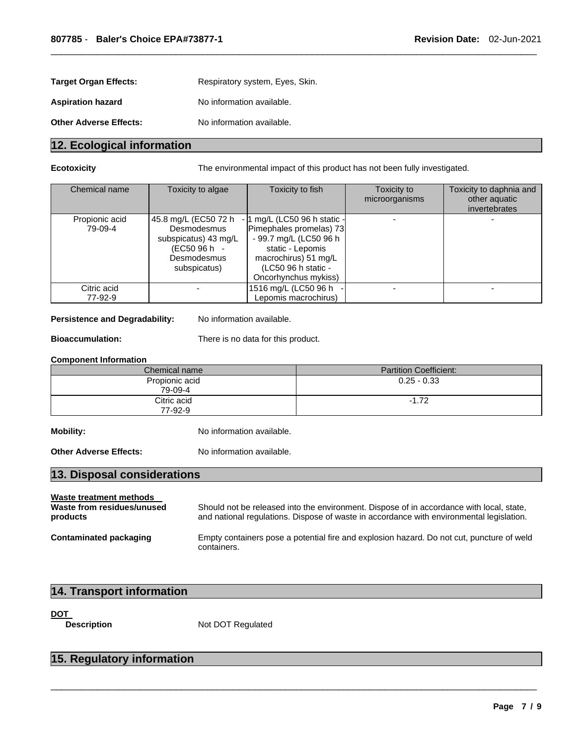| <b>Target Organ Effects:</b>  | Respiratory system, Eyes, Skin. |
|-------------------------------|---------------------------------|
| <b>Aspiration hazard</b>      | No information available.       |
| <b>Other Adverse Effects:</b> | No information available.       |

# **12. Ecological information**

**Ecotoxicity** The environmental impact of this product has not been fully investigated.

| Chemical name             | Toxicity to algae                                                                                          | Toxicity to fish                                                                                                                                                             | Toxicity to<br>microorganisms | Toxicity to daphnia and<br>other aquatic<br>invertebrates |
|---------------------------|------------------------------------------------------------------------------------------------------------|------------------------------------------------------------------------------------------------------------------------------------------------------------------------------|-------------------------------|-----------------------------------------------------------|
| Propionic acid<br>79-09-4 | 45.8 mg/L (EC50 72 h<br>Desmodesmus<br>subspicatus) 43 mg/L<br>(EC50 96 h -<br>Desmodesmus<br>subspicatus) | - 1 mg/L (LC50 96 h static -<br>Pimephales promelas) 73<br>- 99.7 mg/L (LC50 96 h<br>static - Lepomis<br>macrochirus) 51 mg/L<br>(LC50 96 h static -<br>Oncorhynchus mykiss) |                               |                                                           |
| Citric acid<br>77-92-9    |                                                                                                            | 1516 mg/L (LC50 96 h<br>Lepomis macrochirus)                                                                                                                                 |                               |                                                           |

\_\_\_\_\_\_\_\_\_\_\_\_\_\_\_\_\_\_\_\_\_\_\_\_\_\_\_\_\_\_\_\_\_\_\_\_\_\_\_\_\_\_\_\_\_\_\_\_\_\_\_\_\_\_\_\_\_\_\_\_\_\_\_\_\_\_\_\_\_\_\_\_\_\_\_\_\_\_\_\_\_\_\_\_\_\_\_\_\_\_\_\_\_

#### Persistence and Degradability: No information available.

**Bioaccumulation:** There is no data for this product.

#### **Component Information**

| Chemical name             | <b>Partition Coefficient:</b> |
|---------------------------|-------------------------------|
| Propionic acid<br>79-09-4 | $0.25 - 0.33$                 |
| Citric acid<br>77-92-9    | $-1.72$                       |

**Mobility:** No information available.

**Other Adverse Effects:** No information available.

# **13. Disposal considerations**

#### **Waste treatment methods**

**Waste from residues/unused products**  Should not be released into the environment. Dispose of in accordance with local, state, and national regulations. Dispose of waste in accordance with environmental legislation. **Contaminated packaging** Empty containers pose a potential fire and explosion hazard. Do not cut, puncture of weld containers.

\_\_\_\_\_\_\_\_\_\_\_\_\_\_\_\_\_\_\_\_\_\_\_\_\_\_\_\_\_\_\_\_\_\_\_\_\_\_\_\_\_\_\_\_\_\_\_\_\_\_\_\_\_\_\_\_\_\_\_\_\_\_\_\_\_\_\_\_\_\_\_\_\_\_\_\_\_\_\_\_\_\_\_\_\_\_\_\_\_\_\_\_\_

# **14. Transport information**

**DOT** 

**Description Mot DOT Regulated** 

# **15. Regulatory information**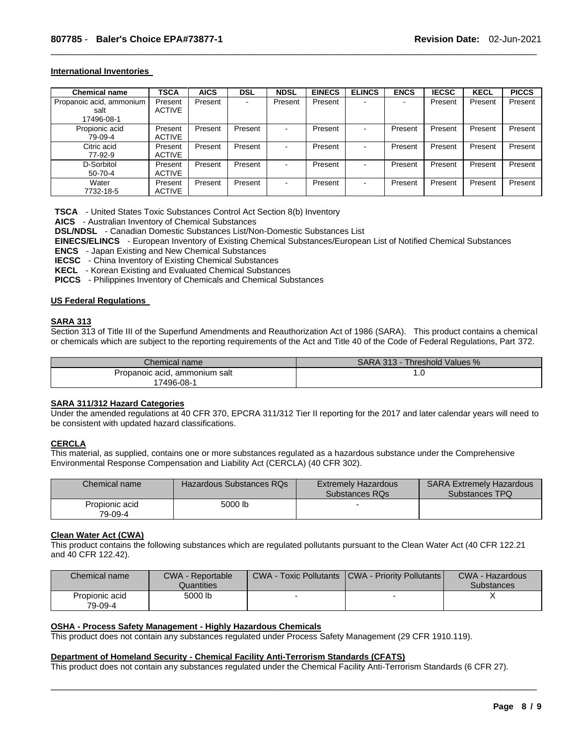#### **International Inventories**

| <b>Chemical name</b>     | <b>TSCA</b>   | <b>AICS</b> | <b>DSL</b>               | <b>NDSL</b> | <b>EINECS</b> | <b>ELINCS</b>  | <b>ENCS</b>              | <b>IECSC</b> | <b>KECL</b> | <b>PICCS</b> |
|--------------------------|---------------|-------------|--------------------------|-------------|---------------|----------------|--------------------------|--------------|-------------|--------------|
| Propanoic acid, ammonium | Present       | Present     | $\overline{\phantom{a}}$ | Present     | Present       | $\sim$         | $\overline{\phantom{0}}$ | Present      | Present     | Present      |
| salt                     | <b>ACTIVE</b> |             |                          |             |               |                |                          |              |             |              |
| 17496-08-1               |               |             |                          |             |               |                |                          |              |             |              |
| Propionic acid           | Present       | Present     | Present                  |             | Present       | $\blacksquare$ | Present                  | Present      | Present     | Present      |
| 79-09-4                  | <b>ACTIVE</b> |             |                          |             |               |                |                          |              |             |              |
| Citric acid              | Present       | Present     | Present                  |             | Present       | $\,$ $\,$      | Present                  | Present      | Present     | Present      |
| 77-92-9                  | <b>ACTIVE</b> |             |                          |             |               |                |                          |              |             |              |
| D-Sorbitol               | Present       | Present     | Present                  | ۰.          | Present       | $\sim$         | Present                  | Present      | Present     | Present      |
| $50 - 70 - 4$            | <b>ACTIVE</b> |             |                          |             |               |                |                          |              |             |              |
| Water                    | Present       | Present     | Present                  | ۰.          | Present       | $\sim$         | Present                  | Present      | Present     | Present      |
| 7732-18-5                | <b>ACTIVE</b> |             |                          |             |               |                |                          |              |             |              |

\_\_\_\_\_\_\_\_\_\_\_\_\_\_\_\_\_\_\_\_\_\_\_\_\_\_\_\_\_\_\_\_\_\_\_\_\_\_\_\_\_\_\_\_\_\_\_\_\_\_\_\_\_\_\_\_\_\_\_\_\_\_\_\_\_\_\_\_\_\_\_\_\_\_\_\_\_\_\_\_\_\_\_\_\_\_\_\_\_\_\_\_\_

**TSCA** - United States Toxic Substances Control Act Section 8(b) Inventory

**AICS** - Australian Inventory of Chemical Substances

**DSL/NDSL** - Canadian Domestic Substances List/Non-Domestic Substances List

**EINECS/ELINCS** - European Inventory of Existing Chemical Substances/European List of Notified Chemical Substances

**ENCS** - Japan Existing and New Chemical Substances

**IECSC** - China Inventory of Existing Chemical Substances

**KECL** - Korean Existing and Evaluated Chemical Substances

**PICCS** - Philippines Inventory of Chemicals and Chemical Substances

#### **US Federal Regulations**

#### **SARA 313**

Section 313 of Title III of the Superfund Amendments and Reauthorization Act of 1986 (SARA). This product contains a chemical or chemicals which are subject to the reporting requirements of the Act and Title 40 of the Code of Federal Regulations, Part 372.

| Chemical name                 | SARA 313 - Threshold Values % |
|-------------------------------|-------------------------------|
| Propanoic acid, ammonium salt | . U                           |
| 17496-08-1                    |                               |

#### **SARA 311/312 Hazard Categories**

Under the amended regulations at 40 CFR 370, EPCRA 311/312 Tier II reporting for the 2017 and later calendar years will need to be consistent with updated hazard classifications.

#### **CERCLA**

This material, as supplied, contains one or more substances regulated as a hazardous substance under the Comprehensive Environmental Response Compensation and Liability Act (CERCLA) (40 CFR 302).

| Chemical name             | Hazardous Substances RQs | <b>Extremely Hazardous</b><br>Substances RQs | <b>SARA Extremely Hazardous</b><br>Substances TPQ |
|---------------------------|--------------------------|----------------------------------------------|---------------------------------------------------|
| Propionic acid<br>79-09-4 | 5000 lb                  |                                              |                                                   |

#### **Clean Water Act (CWA)**

This product contains the following substances which are regulated pollutants pursuant to the Clean Water Act (40 CFR 122.21 and 40 CFR 122.42).

| Chemical name             | <b>CWA - Reportable</b><br>Quantities | <b>CWA - Toxic Pollutants</b> | <b>ICWA - Priority Pollutants I</b> | CWA - Hazardous<br><b>Substances</b> |
|---------------------------|---------------------------------------|-------------------------------|-------------------------------------|--------------------------------------|
| Propionic acid<br>79-09-4 | 5000 lb                               |                               |                                     |                                      |

#### **OSHA - Process Safety Management - Highly Hazardous Chemicals**

This product does not contain any substances regulated under Process Safety Management (29 CFR 1910.119).

#### **Department of Homeland Security - Chemical Facility Anti-Terrorism Standards (CFATS)**

This product does not contain any substances regulated under the Chemical Facility Anti-Terrorism Standards (6 CFR 27).

\_\_\_\_\_\_\_\_\_\_\_\_\_\_\_\_\_\_\_\_\_\_\_\_\_\_\_\_\_\_\_\_\_\_\_\_\_\_\_\_\_\_\_\_\_\_\_\_\_\_\_\_\_\_\_\_\_\_\_\_\_\_\_\_\_\_\_\_\_\_\_\_\_\_\_\_\_\_\_\_\_\_\_\_\_\_\_\_\_\_\_\_\_